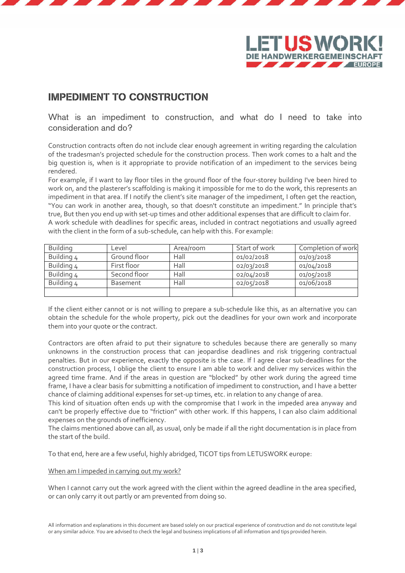



## IMPEDIMENT TO CONSTRUCTION

What is an impediment to construction, and what do I need to take into consideration and do?

Construction contracts often do not include clear enough agreement in writing regarding the calculation of the tradesman's projected schedule for the construction process. Then work comes to a halt and the big question is, when is it appropriate to provide notification of an impediment to the services being rendered.

For example, if I want to lay floor tiles in the ground floor of the four-storey building I've been hired to work on, and the plasterer's scaffolding is making it impossible for me to do the work, this represents an impediment in that area. If I notify the client's site manager of the impediment, I often get the reaction, "You can work in another area, though, so that doesn't constitute an impediment." In principle that's true, But then you end up with set-up times and other additional expenses that are difficult to claim for. A work schedule with deadlines for specific areas, included in contract negotiations and usually agreed with the client in the form of a sub-schedule, can help with this. For example:

| <b>Building</b> | Level        | Area/room | Start of work | Completion of work |
|-----------------|--------------|-----------|---------------|--------------------|
| Building 4      | Ground floor | Hall      | 01/02/2018    | 01/03/2018         |
| Building 4      | First floor  | Hall      | 02/03/2018    | 01/04/2018         |
| Building 4      | Second floor | Hall      | 02/04/2018    | 01/05/2018         |
| Building 4      | Basement     | Hall      | 02/05/2018    | 01/06/2018         |
|                 |              |           |               |                    |

If the client either cannot or is not willing to prepare a sub-schedule like this, as an alternative you can obtain the schedule for the whole property, pick out the deadlines for your own work and incorporate them into your quote or the contract.

Contractors are often afraid to put their signature to schedules because there are generally so many unknowns in the construction process that can jeopardise deadlines and risk triggering contractual penalties. But in our experience, exactly the opposite is the case. If I agree clear sub-deadlines for the construction process, I oblige the client to ensure I am able to work and deliver my services within the agreed time frame. And if the areas in question are "blocked" by other work during the agreed time frame, I have a clear basis for submitting a notification of impediment to construction, and I have a better chance of claiming additional expenses for set-up times, etc. in relation to any change of area.

This kind of situation often ends up with the compromise that I work in the impeded area anyway and can't be properly effective due to "friction" with other work. If this happens, I can also claim additional expenses on the grounds of inefficiency.

The claims mentioned above can all, as usual, only be made if all the right documentation is in place from the start of the build.

To that end, here are a few useful, highly abridged, TICOT tips from LETUSWORK europe:

When am I impeded in carrying out my work?

When I cannot carry out the work agreed with the client within the agreed deadline in the area specified, or can only carry it out partly or am prevented from doing so.

All information and explanations in this document are based solely on our practical experience of construction and do not constitute legal or any similar advice. You are advised to check the legal and business implications of all information and tips provided herein.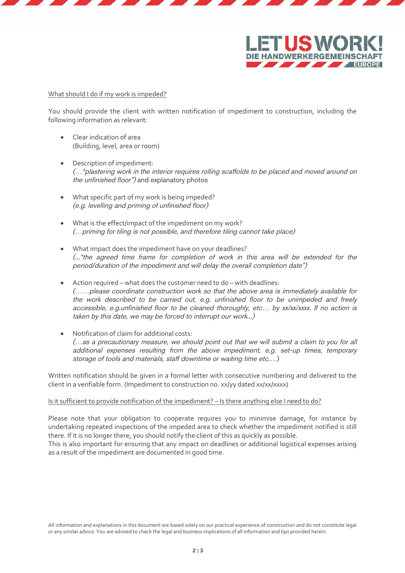



## What should I do if my work is impeded?

You should provide the client with written notification of impediment to construction, including the following information as relevant:

- Clear indication of area (Building, level, area or room)
- Description of impediment: (…"plastering work in the interior requires rolling scaffolds to be placed and moved around on the unfinished floor") and explanatory photos
- What specific part of my work is being impeded? (e.g. levelling and priming of unfinished floor)
- What is the effect/impact of the impediment on my work? (…priming for tiling is not possible, and therefore tiling cannot take place)
- What impact does the impediment have on your deadlines? (..."the agreed time frame for completion of work in this area will be extended for the period/duration of the impediment and will delay the overall completion date")
- Action required what does the customer need to do with deadlines: (……please coordinate construction work so that the above area is immediately available for the work described to be carried out, e.g. unfinished floor to be unimpeded and freely accessible, e.g.unfinished floor to be cleaned thoroughly, etc… by xx/xx/xxxx. If no action is taken by this date, we may be forced to interrupt our work...)
- Notification of claim for additional costs: (…as a precautionary measure, we should point out that we will submit a claim to you for all additional expenses resulting from the above impediment, e.g. set-up times, temporary storage of tools and materials, staff downtime or waiting time etc.…)

Written notification should be given in a formal letter with consecutive numbering and delivered to the client in a verifiable form. (Impediment to construction no. xx/yy dated xx/xx/xxxx)

## Is it sufficient to provide notification of the impediment? – Is there anything else I need to do?

Please note that your obligation to cooperate requires you to minimise damage, for instance by undertaking repeated inspections of the impeded area to check whether the impediment notified is still there. If it is no longer there, you should notify the client of this as quickly as possible.

This is also important for ensuring that any impact on deadlines or additional logistical expenses arising as a result of the impediment are documented in good time.

All information and explanations in this document are based solely on our practical experience of construction and do not constitute legal or any similar advice. You are advised to check the legal and business implications of all information and tips provided herein.